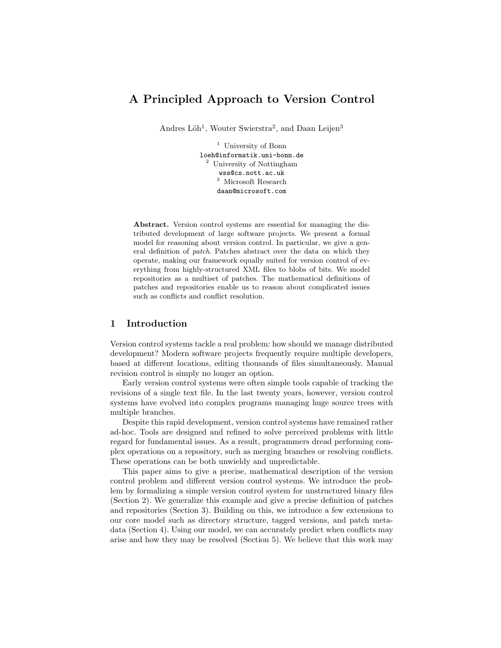# A Principled Approach to Version Control

Andres Löh<sup>1</sup>, Wouter Swierstra<sup>2</sup>, and Daan Leijen<sup>3</sup>

<sup>1</sup> University of Bonn loeh@informatik.uni-bonn.de <sup>2</sup> University of Nottingham wss@cs.nott.ac.uk <sup>3</sup> Microsoft Research daan@microsoft.com

Abstract. Version control systems are essential for managing the distributed development of large software projects. We present a formal model for reasoning about version control. In particular, we give a general definition of patch. Patches abstract over the data on which they operate, making our framework equally suited for version control of everything from highly-structured XML files to blobs of bits. We model repositories as a multiset of patches. The mathematical definitions of patches and repositories enable us to reason about complicated issues such as conflicts and conflict resolution.

# 1 Introduction

Version control systems tackle a real problem: how should we manage distributed development? Modern software projects frequently require multiple developers, based at different locations, editing thousands of files simultaneously. Manual revision control is simply no longer an option.

Early version control systems were often simple tools capable of tracking the revisions of a single text file. In the last twenty years, however, version control systems have evolved into complex programs managing huge source trees with multiple branches.

Despite this rapid development, version control systems have remained rather ad-hoc. Tools are designed and refined to solve perceived problems with little regard for fundamental issues. As a result, programmers dread performing complex operations on a repository, such as merging branches or resolving conflicts. These operations can be both unwieldy and unpredictable.

This paper aims to give a precise, mathematical description of the version control problem and different version control systems. We introduce the problem by formalizing a simple version control system for unstructured binary files (Section 2). We generalize this example and give a precise definition of patches and repositories (Section 3). Building on this, we introduce a few extensions to our core model such as directory structure, tagged versions, and patch metadata (Section 4). Using our model, we can accurately predict when conflicts may arise and how they may be resolved (Section 5). We believe that this work may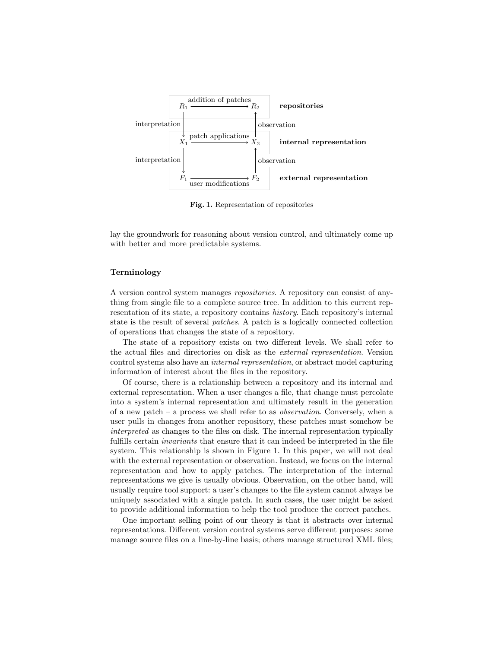

Fig. 1. Representation of repositories

lay the groundwork for reasoning about version control, and ultimately come up with better and more predictable systems.

#### Terminology

A version control system manages repositories. A repository can consist of anything from single file to a complete source tree. In addition to this current representation of its state, a repository contains history. Each repository's internal state is the result of several patches. A patch is a logically connected collection of operations that changes the state of a repository.

The state of a repository exists on two different levels. We shall refer to the actual files and directories on disk as the external representation. Version control systems also have an internal representation, or abstract model capturing information of interest about the files in the repository.

Of course, there is a relationship between a repository and its internal and external representation. When a user changes a file, that change must percolate into a system's internal representation and ultimately result in the generation of a new patch – a process we shall refer to as *observation*. Conversely, when a user pulls in changes from another repository, these patches must somehow be interpreted as changes to the files on disk. The internal representation typically fulfills certain invariants that ensure that it can indeed be interpreted in the file system. This relationship is shown in Figure 1. In this paper, we will not deal with the external representation or observation. Instead, we focus on the internal representation and how to apply patches. The interpretation of the internal representations we give is usually obvious. Observation, on the other hand, will usually require tool support: a user's changes to the file system cannot always be uniquely associated with a single patch. In such cases, the user might be asked to provide additional information to help the tool produce the correct patches.

One important selling point of our theory is that it abstracts over internal representations. Different version control systems serve different purposes: some manage source files on a line-by-line basis; others manage structured XML files;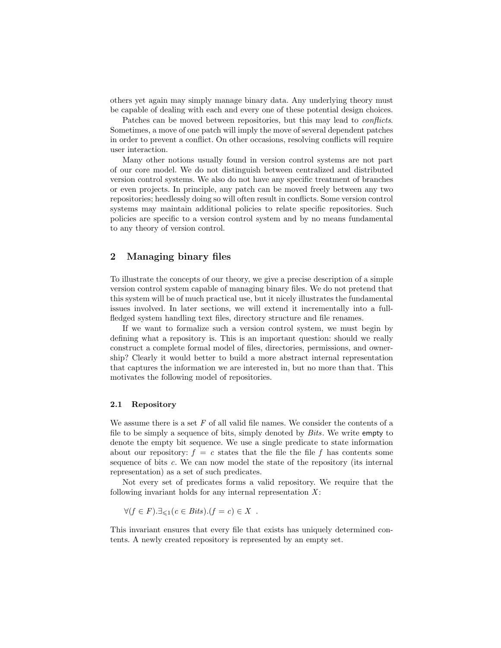others yet again may simply manage binary data. Any underlying theory must be capable of dealing with each and every one of these potential design choices.

Patches can be moved between repositories, but this may lead to *conflicts*. Sometimes, a move of one patch will imply the move of several dependent patches in order to prevent a conflict. On other occasions, resolving conflicts will require user interaction.

Many other notions usually found in version control systems are not part of our core model. We do not distinguish between centralized and distributed version control systems. We also do not have any specific treatment of branches or even projects. In principle, any patch can be moved freely between any two repositories; heedlessly doing so will often result in conflicts. Some version control systems may maintain additional policies to relate specific repositories. Such policies are specific to a version control system and by no means fundamental to any theory of version control.

## 2 Managing binary files

To illustrate the concepts of our theory, we give a precise description of a simple version control system capable of managing binary files. We do not pretend that this system will be of much practical use, but it nicely illustrates the fundamental issues involved. In later sections, we will extend it incrementally into a fullfledged system handling text files, directory structure and file renames.

If we want to formalize such a version control system, we must begin by defining what a repository is. This is an important question: should we really construct a complete formal model of files, directories, permissions, and ownership? Clearly it would better to build a more abstract internal representation that captures the information we are interested in, but no more than that. This motivates the following model of repositories.

#### 2.1 Repository

We assume there is a set  $F$  of all valid file names. We consider the contents of a file to be simply a sequence of bits, simply denoted by Bits. We write empty to denote the empty bit sequence. We use a single predicate to state information about our repository:  $f = c$  states that the file the file f has contents some sequence of bits c. We can now model the state of the repository (its internal representation) as a set of such predicates.

Not every set of predicates forms a valid repository. We require that the following invariant holds for any internal representation  $X$ :

$$
\forall (f \in F). \exists_{\leq 1} (c \in \text{Bits}). (f = c) \in X .
$$

This invariant ensures that every file that exists has uniquely determined contents. A newly created repository is represented by an empty set.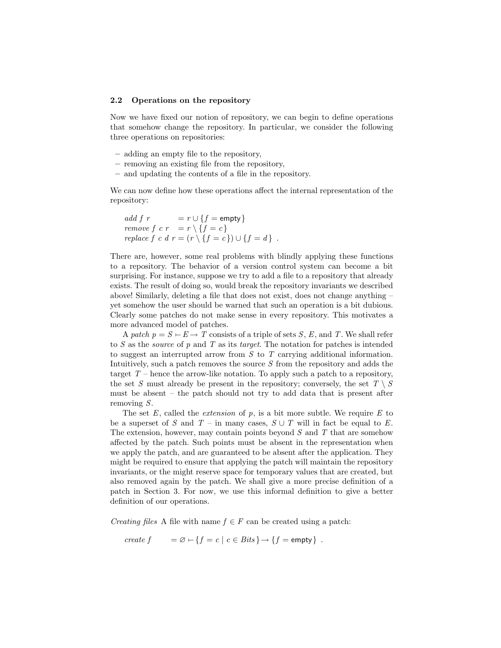#### 2.2 Operations on the repository

Now we have fixed our notion of repository, we can begin to define operations that somehow change the repository. In particular, we consider the following three operations on repositories:

- adding an empty file to the repository,
- removing an existing file from the repository,
- and updating the contents of a file in the repository.

We can now define how these operations affect the internal representation of the repository:

```
add f r = r \cup \{f = \text{empty}\}\remove f \, c \, r = r \setminus \{f = c\}replace f c d r = (r \setminus \{f = c\}) \cup \{f = d\}.
```
There are, however, some real problems with blindly applying these functions to a repository. The behavior of a version control system can become a bit surprising. For instance, suppose we try to add a file to a repository that already exists. The result of doing so, would break the repository invariants we described above! Similarly, deleting a file that does not exist, does not change anything – yet somehow the user should be warned that such an operation is a bit dubious. Clearly some patches do not make sense in every repository. This motivates a more advanced model of patches.

A patch  $p = S - E \rightarrow T$  consists of a triple of sets S, E, and T. We shall refer to S as the *source* of p and T as its target. The notation for patches is intended to suggest an interrupted arrow from S to T carrying additional information. Intuitively, such a patch removes the source  $S$  from the repository and adds the target  $T$  – hence the arrow-like notation. To apply such a patch to a repository, the set S must already be present in the repository; conversely, the set  $T \setminus S$ must be absent – the patch should not try to add data that is present after removing S.

The set  $E$ , called the *extension* of  $p$ , is a bit more subtle. We require  $E$  to be a superset of S and T – in many cases,  $S \cup T$  will in fact be equal to E. The extension, however, may contain points beyond  $S$  and  $T$  that are somehow affected by the patch. Such points must be absent in the representation when we apply the patch, and are guaranteed to be absent after the application. They might be required to ensure that applying the patch will maintain the repository invariants, or the might reserve space for temporary values that are created, but also removed again by the patch. We shall give a more precise definition of a patch in Section 3. For now, we use this informal definition to give a better definition of our operations.

*Creating files* A file with name  $f \in F$  can be created using a patch:

$$
create f = \varnothing \vdash \{f = c \mid c \in \text{Bits}\} \rightarrow \{f = \text{empty}\} .
$$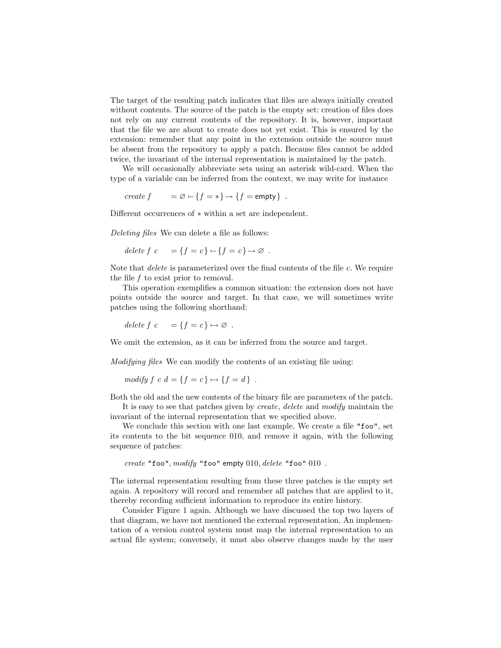The target of the resulting patch indicates that files are always initially created without contents. The source of the patch is the empty set: creation of files does not rely on any current contents of the repository. It is, however, important that the file we are about to create does not yet exist. This is ensured by the extension: remember that any point in the extension outside the source must be absent from the repository to apply a patch. Because files cannot be added twice, the invariant of the internal representation is maintained by the patch.

We will occasionally abbreviate sets using an asterisk wild-card. When the type of a variable can be inferred from the context, we may write for instance

create  $f = \emptyset \rightarrow \{f = * \} \rightarrow \{f = \text{empty}\}\.$ 

Different occurrences of ∗ within a set are independent.

Deleting files We can delete a file as follows:

delete  $f \nc = \{f = c\} \nightharpoonup \{f = c\} \rightarrow \emptyset$ .

Note that *delete* is parameterized over the final contents of the file c. We require the file  $f$  to exist prior to removal.

This operation exemplifies a common situation: the extension does not have points outside the source and target. In that case, we will sometimes write patches using the following shorthand:

delete f c = { $f = c$ }  $\mapsto \emptyset$ .

We omit the extension, as it can be inferred from the source and target.

Modifying files We can modify the contents of an existing file using:

modify  $f \nc d = \{f = c\} \mapsto \{f = d\}$ .

Both the old and the new contents of the binary file are parameters of the patch.

It is easy to see that patches given by create, delete and modify maintain the invariant of the internal representation that we specified above.

We conclude this section with one last example. We create a file "foo", set its contents to the bit sequence 010, and remove it again, with the following sequence of patches:

create "foo", modify "foo" empty 010, delete "foo" 010 .

The internal representation resulting from these three patches is the empty set again. A repository will record and remember all patches that are applied to it, thereby recording sufficient information to reproduce its entire history.

Consider Figure 1 again. Although we have discussed the top two layers of that diagram, we have not mentioned the external representation. An implementation of a version control system must map the internal representation to an actual file system; conversely, it must also observe changes made by the user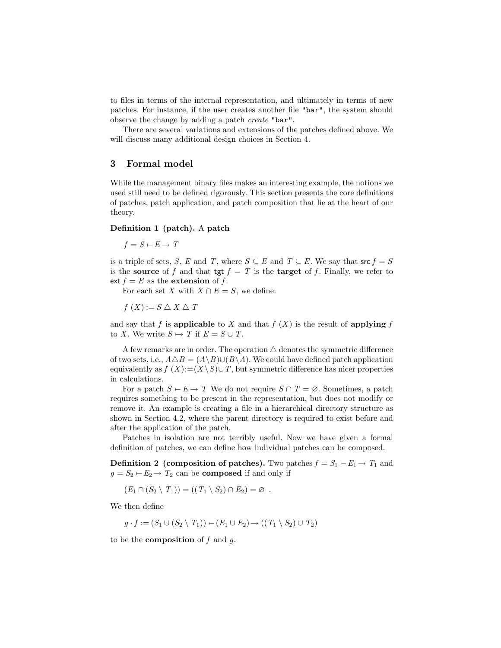to files in terms of the internal representation, and ultimately in terms of new patches. For instance, if the user creates another file "bar", the system should observe the change by adding a patch create "bar".

There are several variations and extensions of the patches defined above. We will discuss many additional design choices in Section 4.

### 3 Formal model

While the management binary files makes an interesting example, the notions we used still need to be defined rigorously. This section presents the core definitions of patches, patch application, and patch composition that lie at the heart of our theory.

#### Definition 1 (patch). A patch

$$
f = S - E \rightarrow T
$$

is a triple of sets, S, E and T, where  $S \subseteq E$  and  $T \subseteq E$ . We say that  $\mathsf{src} f = S$ is the source of f and that tgt  $f = T$  is the target of f. Finally, we refer to ext  $f = E$  as the extension of f.

For each set X with  $X \cap E = S$ , we define:

 $f(X) := S \triangle X \triangle T$ 

and say that f is applicable to X and that  $f(X)$  is the result of applying f to X. We write  $S \mapsto T$  if  $E = S \cup T$ .

A few remarks are in order. The operation  $\triangle$  denotes the symmetric difference of two sets, i.e.,  $A \triangle B = (A \setminus B) \cup (B \setminus A)$ . We could have defined patch application equivalently as  $f(X) := (X \setminus S) \cup T$ , but symmetric difference has nicer properties in calculations.

For a patch  $S \vdash E \to T$  We do not require  $S \cap T = \emptyset$ . Sometimes, a patch requires something to be present in the representation, but does not modify or remove it. An example is creating a file in a hierarchical directory structure as shown in Section 4.2, where the parent directory is required to exist before and after the application of the patch.

Patches in isolation are not terribly useful. Now we have given a formal definition of patches, we can define how individual patches can be composed.

**Definition 2** (composition of patches). Two patches  $f = S_1 - E_1 \rightarrow T_1$  and  $g = S_2 \rightarrow E_2 \rightarrow T_2$  can be **composed** if and only if

 $(E_1 \cap (S_2 \setminus T_1)) = ((T_1 \setminus S_2) \cap E_2) = \varnothing$ .

We then define

$$
g \cdot f := (S_1 \cup (S_2 \setminus T_1)) \cup (E_1 \cup E_2) \rightarrow ((T_1 \setminus S_2) \cup T_2)
$$

to be the **composition** of  $f$  and  $g$ .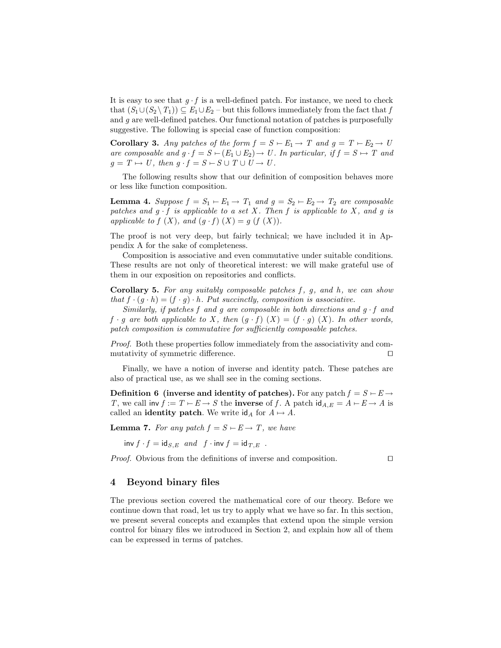It is easy to see that  $g \cdot f$  is a well-defined patch. For instance, we need to check that  $(S_1 \cup (S_2 \setminus T_1)) \subseteq E_1 \cup E_2$  – but this follows immediately from the fact that f and g are well-defined patches. Our functional notation of patches is purposefully suggestive. The following is special case of function composition:

Corollary 3. Any patches of the form  $f = S - E_1 \rightarrow T$  and  $g = T - E_2 \rightarrow U$ are composable and  $g \cdot f = S \vdash (E_1 \cup E_2) \rightarrow U$ . In particular, if  $f = S \mapsto T$  and  $q = T \mapsto U$ , then  $q \cdot f = S - S \cup T \cup U \rightarrow U$ .

The following results show that our definition of composition behaves more or less like function composition.

**Lemma 4.** Suppose  $f = S_1 \rightarrow E_1 \rightarrow T_1$  and  $g = S_2 \rightarrow E_2 \rightarrow T_2$  are composable patches and  $g \cdot f$  is applicable to a set X. Then f is applicable to X, and g is applicable to  $f(X)$ , and  $(g \cdot f)(X) = g(f(X))$ .

The proof is not very deep, but fairly technical; we have included it in Appendix A for the sake of completeness.

Composition is associative and even commutative under suitable conditions. These results are not only of theoretical interest: we will make grateful use of them in our exposition on repositories and conflicts.

**Corollary 5.** For any suitably composable patches  $f$ ,  $g$ , and  $h$ , we can show that  $f \cdot (g \cdot h) = (f \cdot g) \cdot h$ . Put succinctly, composition is associative.

Similarly, if patches f and g are composable in both directions and  $g \cdot f$  and  $f \cdot g$  are both applicable to X, then  $(g \cdot f)$   $(X) = (f \cdot g)$   $(X)$ . In other words, patch composition is commutative for sufficiently composable patches.

Proof. Both these properties follow immediately from the associativity and commutativity of symmetric difference.  $\Box$ 

Finally, we have a notion of inverse and identity patch. These patches are also of practical use, as we shall see in the coming sections.

Definition 6 (inverse and identity of patches). For any patch  $f = S - E \rightarrow$ T, we call inv  $f := T - E \rightarrow S$  the inverse of f. A patch  $\mathrm{id}_{A,E} = A - E \rightarrow A$  is called an **identity patch**. We write  $\mathsf{id}_A$  for  $A \mapsto A$ .

**Lemma 7.** For any patch  $f = S - E \rightarrow T$ , we have

inv  $f \cdot f = id_{S,E}$  and  $f \cdot inv f = id_{T,E}$ .

*Proof.* Obvious from the definitions of inverse and composition.  $\Box$ 

## 4 Beyond binary files

The previous section covered the mathematical core of our theory. Before we continue down that road, let us try to apply what we have so far. In this section, we present several concepts and examples that extend upon the simple version control for binary files we introduced in Section 2, and explain how all of them can be expressed in terms of patches.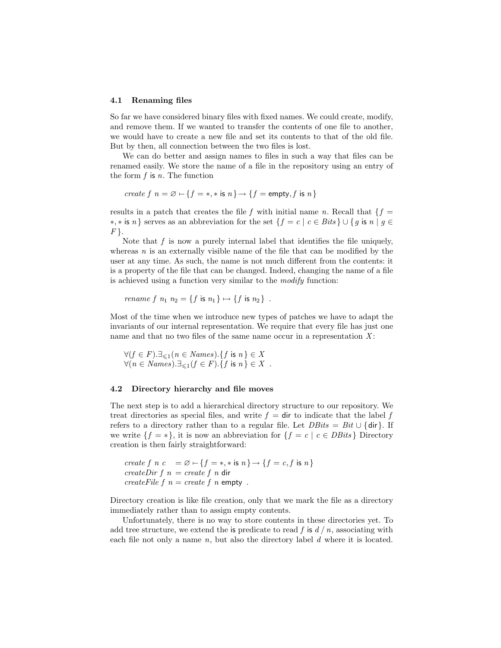#### 4.1 Renaming files

So far we have considered binary files with fixed names. We could create, modify, and remove them. If we wanted to transfer the contents of one file to another, we would have to create a new file and set its contents to that of the old file. But by then, all connection between the two files is lost.

We can do better and assign names to files in such a way that files can be renamed easily. We store the name of a file in the repository using an entry of the form  $f$  is  $n$ . The function

$$
create f \ n = \varnothing - \{f = *, * \text{ is } n\} \rightarrow \{f = \text{empty}, f \text{ is } n\}
$$

results in a patch that creates the file f with initial name n. Recall that  $\{f =$  $\{*, * \text{ is } n\}$  serves as an abbreviation for the set  $\{f = c \mid c \in \text{Bits}\}\cup \{g \text{ is } n \mid g \in \mathbb{R}\}$  $F \}$ .

Note that  $f$  is now a purely internal label that identifies the file uniquely, whereas  $n$  is an externally visible name of the file that can be modified by the user at any time. As such, the name is not much different from the contents: it is a property of the file that can be changed. Indeed, changing the name of a file is achieved using a function very similar to the modify function:

$$
rename f n_1 n_2 = \{f \text{ is } n_1\} \mapsto \{f \text{ is } n_2\} .
$$

Most of the time when we introduce new types of patches we have to adapt the invariants of our internal representation. We require that every file has just one name and that no two files of the same name occur in a representation  $X$ :

 $\forall (f \in F). \exists_{\leq 1} (n \in Names). \{f \text{ is } n\} \in X$  $\forall (n \in Names). \exists_{\leq 1} (f \in F). \{f \text{ is } n\} \in X$ .

#### 4.2 Directory hierarchy and file moves

The next step is to add a hierarchical directory structure to our repository. We treat directories as special files, and write  $f =$  dir to indicate that the label f refers to a directory rather than to a regular file. Let  $DBits = Bit \cup \{dir\}$ . If we write  $\{f = *\}$ , it is now an abbreviation for  $\{f = c \mid c \in DBits\}$  Directory creation is then fairly straightforward:

create f n c =  $\varnothing \vdash \{f = *, * \text{ is } n\} \rightarrow \{f = c, f \text{ is } n\}$ createDir  $f \, n = \text{create } f \, n$  dir createFile  $f$   $n = \text{create } f$   $n$  empty.

Directory creation is like file creation, only that we mark the file as a directory immediately rather than to assign empty contents.

Unfortunately, there is no way to store contents in these directories yet. To add tree structure, we extend the is predicate to read f is  $d / n$ , associating with each file not only a name  $n$ , but also the directory label  $d$  where it is located.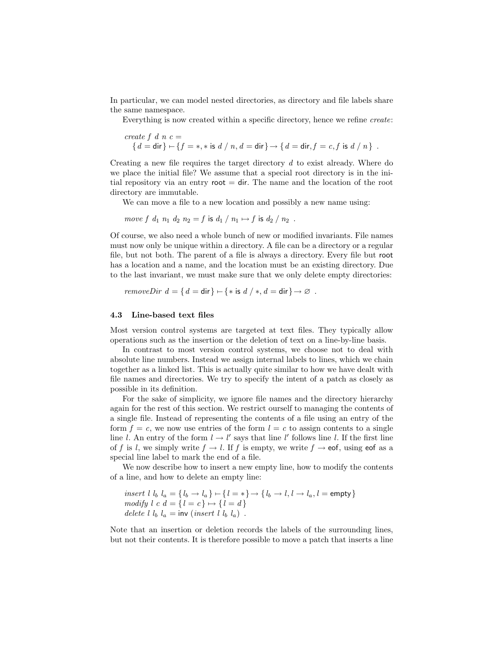In particular, we can model nested directories, as directory and file labels share the same namespace.

Everything is now created within a specific directory, hence we refine create:

$$
\begin{array}{l} \text{create $f$ $d$ $n$ $c =$} \\ \{d=\mathsf{dir}\} \leftarrow \{f = *, * \text{ is } d \text{ / } n, d=\mathsf{dir}\} \rightarrow \{d=\mathsf{dir}, f = c, f \text{ is } d \text{ / } n \} \end{array}.
$$

Creating a new file requires the target directory d to exist already. Where do we place the initial file? We assume that a special root directory is in the initial repository via an entry root  $=$  dir. The name and the location of the root directory are immutable.

We can move a file to a new location and possibly a new name using:

move f  $d_1$   $n_1$   $d_2$   $n_2 = f$  is  $d_1 / n_1 \mapsto f$  is  $d_2 / n_2$ .

Of course, we also need a whole bunch of new or modified invariants. File names must now only be unique within a directory. A file can be a directory or a regular file, but not both. The parent of a file is always a directory. Every file but root has a location and a name, and the location must be an existing directory. Due to the last invariant, we must make sure that we only delete empty directories:

$$
removeDir d = \{ d = \text{dir} \} \cup \{ * \text{ is } d \; / \; *, d = \text{dir} \} \to \varnothing .
$$

#### 4.3 Line-based text files

Most version control systems are targeted at text files. They typically allow operations such as the insertion or the deletion of text on a line-by-line basis.

In contrast to most version control systems, we choose not to deal with absolute line numbers. Instead we assign internal labels to lines, which we chain together as a linked list. This is actually quite similar to how we have dealt with file names and directories. We try to specify the intent of a patch as closely as possible in its definition.

For the sake of simplicity, we ignore file names and the directory hierarchy again for the rest of this section. We restrict ourself to managing the contents of a single file. Instead of representing the contents of a file using an entry of the form  $f = c$ , we now use entries of the form  $l = c$  to assign contents to a single line l. An entry of the form  $l \rightarrow l'$  says that line l' follows line l. If the first line of f is l, we simply write  $f \to l$ . If f is empty, we write  $f \to \text{eof}$ , using eof as a special line label to mark the end of a file.

We now describe how to insert a new empty line, how to modify the contents of a line, and how to delete an empty line:

```
insert l l_b l_a = {l_b → l_a} ← {l = *} → {l_b → l, l → l_a, l = empty}
modify l \ c \ d = \{l = c\} \mapsto \{l = d\}delete l l_b l_a = inv (insert l l_b l_a).
```
Note that an insertion or deletion records the labels of the surrounding lines, but not their contents. It is therefore possible to move a patch that inserts a line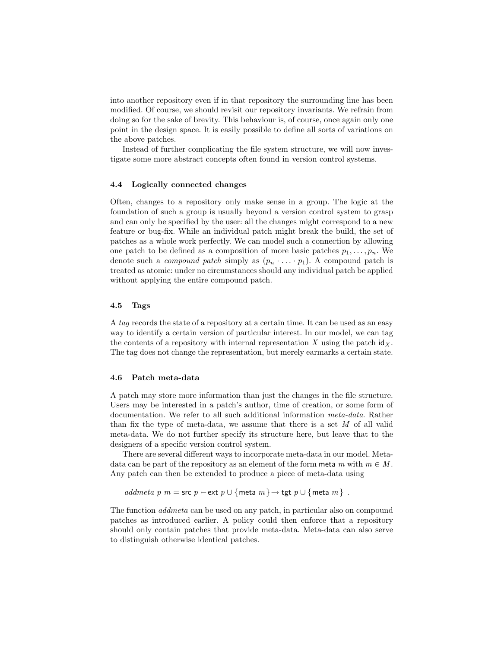into another repository even if in that repository the surrounding line has been modified. Of course, we should revisit our repository invariants. We refrain from doing so for the sake of brevity. This behaviour is, of course, once again only one point in the design space. It is easily possible to define all sorts of variations on the above patches.

Instead of further complicating the file system structure, we will now investigate some more abstract concepts often found in version control systems.

#### 4.4 Logically connected changes

Often, changes to a repository only make sense in a group. The logic at the foundation of such a group is usually beyond a version control system to grasp and can only be specified by the user: all the changes might correspond to a new feature or bug-fix. While an individual patch might break the build, the set of patches as a whole work perfectly. We can model such a connection by allowing one patch to be defined as a composition of more basic patches  $p_1, \ldots, p_n$ . We denote such a *compound patch* simply as  $(p_n \cdot \ldots \cdot p_1)$ . A compound patch is treated as atomic: under no circumstances should any individual patch be applied without applying the entire compound patch.

#### 4.5 Tags

A tag records the state of a repository at a certain time. It can be used as an easy way to identify a certain version of particular interest. In our model, we can tag the contents of a repository with internal representation X using the patch  $\mathrm{id}_X$ . The tag does not change the representation, but merely earmarks a certain state.

#### 4.6 Patch meta-data

A patch may store more information than just the changes in the file structure. Users may be interested in a patch's author, time of creation, or some form of documentation. We refer to all such additional information *meta-data*. Rather than fix the type of meta-data, we assume that there is a set  $M$  of all valid meta-data. We do not further specify its structure here, but leave that to the designers of a specific version control system.

There are several different ways to incorporate meta-data in our model. Metadata can be part of the repository as an element of the form meta m with  $m \in M$ . Any patch can then be extended to produce a piece of meta-data using

addmeta p m = src p ⊢ext p ∪ {meta m } → tgt p ∪ {meta m }.

The function addmeta can be used on any patch, in particular also on compound patches as introduced earlier. A policy could then enforce that a repository should only contain patches that provide meta-data. Meta-data can also serve to distinguish otherwise identical patches.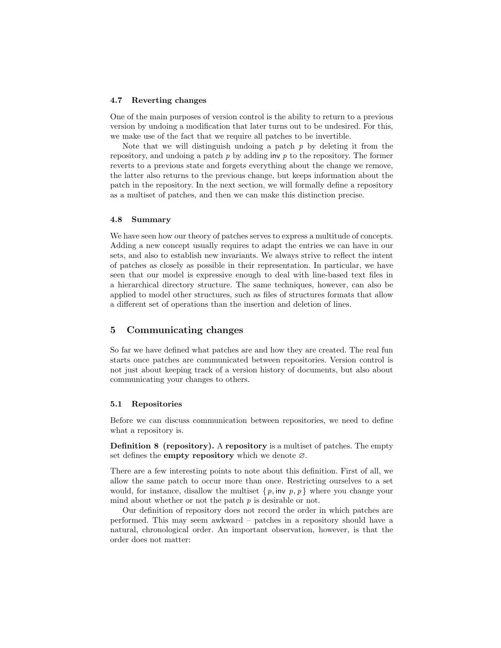#### 4.7 Reverting changes

One of the main purposes of version control is the ability to return to a previous version by undoing a modification that later turns out to be undesired. For this, we make use of the fact that we require all patches to be invertible.

Note that we will distinguish undoing a patch  $p$  by deleting it from the repository, and undoing a patch  $p$  by adding inv  $p$  to the repository. The former reverts to a previous state and forgets everything about the change we remove, the latter also returns to the previous change, but keeps information about the patch in the repository. In the next section, we will formally define a repository as a multiset of patches, and then we can make this distinction precise.

#### 4.8 Summary

We have seen how our theory of patches serves to express a multitude of concepts. Adding a new concept usually requires to adapt the entries we can have in our sets, and also to establish new invariants. We always strive to reflect the intent of patches as closely as possible in their representation. In particular, we have seen that our model is expressive enough to deal with line-based text files in a hierarchical directory structure. The same techniques, however, can also be applied to model other structures, such as files of structures formats that allow a different set of operations than the insertion and deletion of lines.

### 5 Communicating changes

So far we have defined what patches are and how they are created. The real fun starts once patches are communicated between repositories. Version control is not just about keeping track of a version history of documents, but also about communicating your changes to others.

#### 5.1 Repositories

Before we can discuss communication between repositories, we need to define what a repository is.

Definition 8 (repository). A repository is a multiset of patches. The empty set defines the **empty repository** which we denote  $\varnothing$ .

There are a few interesting points to note about this definition. First of all, we allow the same patch to occur more than once. Restricting ourselves to a set would, for instance, disallow the multiset  $\{p, inv, p, p\}$  where you change your mind about whether or not the patch  $p$  is desirable or not.

Our definition of repository does not record the order in which patches are performed. This may seem awkward – patches in a repository should have a natural, chronological order. An important observation, however, is that the order does not matter: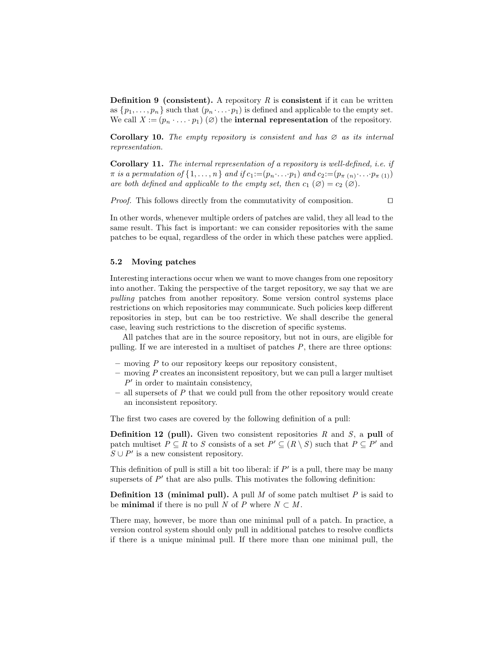**Definition 9 (consistent).** A repository  $R$  is **consistent** if it can be written as  $\{p_1, \ldots, p_n\}$  such that  $(p_n \cdot \ldots \cdot p_1)$  is defined and applicable to the empty set. We call  $X := (p_n \cdot \ldots \cdot p_1)$   $(\emptyset)$  the **internal representation** of the repository.

**Corollary 10.** The empty repository is consistent and has  $\varnothing$  as its internal representation.

Corollary 11. The internal representation of a repository is well-defined, i.e. if  $\pi$  is a permutation of  $\{1,\ldots,n\}$  and if  $c_1:=(p_n\ldots p_1)$  and  $c_2:=(p_{\pi(n)}\ldots p_{\pi(1)})$ are both defined and applicable to the empty set, then  $c_1(\emptyset) = c_2(\emptyset)$ .

*Proof.* This follows directly from the commutativity of composition.  $\Box$ 

In other words, whenever multiple orders of patches are valid, they all lead to the same result. This fact is important: we can consider repositories with the same patches to be equal, regardless of the order in which these patches were applied.

### 5.2 Moving patches

Interesting interactions occur when we want to move changes from one repository into another. Taking the perspective of the target repository, we say that we are pulling patches from another repository. Some version control systems place restrictions on which repositories may communicate. Such policies keep different repositories in step, but can be too restrictive. We shall describe the general case, leaving such restrictions to the discretion of specific systems.

All patches that are in the source repository, but not in ours, are eligible for pulling. If we are interested in a multiset of patches  $P$ , there are three options:

- $-$  moving  $P$  to our repository keeps our repository consistent,
- $-$  moving  $P$  creates an inconsistent repository, but we can pull a larger multiset  $P'$  in order to maintain consistency,
- $-$  all supersets of P that we could pull from the other repository would create an inconsistent repository.

The first two cases are covered by the following definition of a pull:

**Definition 12 (pull).** Given two consistent repositories R and S, a pull of patch multiset  $P \subseteq R$  to S consists of a set  $P' \subseteq (R \setminus S)$  such that  $P \subseteq P'$  and  $S \cup P'$  is a new consistent repository.

This definition of pull is still a bit too liberal: if  $P'$  is a pull, there may be many supersets of  $P'$  that are also pulls. This motivates the following definition:

**Definition 13 (minimal pull).** A pull  $M$  of some patch multiset  $P$  is said to be **minimal** if there is no pull N of P where  $N \subset M$ .

There may, however, be more than one minimal pull of a patch. In practice, a version control system should only pull in additional patches to resolve conflicts if there is a unique minimal pull. If there more than one minimal pull, the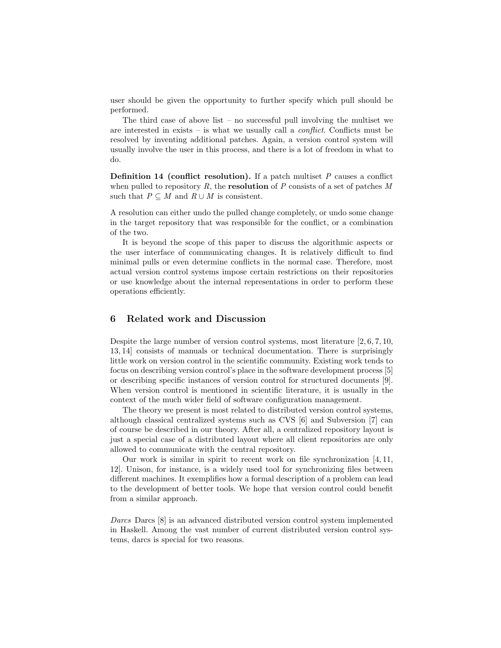user should be given the opportunity to further specify which pull should be performed.

The third case of above list – no successful pull involving the multiset we are interested in exists – is what we usually call a *conflict*. Conflicts must be resolved by inventing additional patches. Again, a version control system will usually involve the user in this process, and there is a lot of freedom in what to do.

**Definition 14 (conflict resolution).** If a patch multiset  $P$  causes a conflict when pulled to repository  $R$ , the **resolution** of  $P$  consists of a set of patches  $M$ such that  $P \subseteq M$  and  $R \cup M$  is consistent.

A resolution can either undo the pulled change completely, or undo some change in the target repository that was responsible for the conflict, or a combination of the two.

It is beyond the scope of this paper to discuss the algorithmic aspects or the user interface of communicating changes. It is relatively difficult to find minimal pulls or even determine conflicts in the normal case. Therefore, most actual version control systems impose certain restrictions on their repositories or use knowledge about the internal representations in order to perform these operations efficiently.

## 6 Related work and Discussion

Despite the large number of version control systems, most literature [2, 6, 7, 10, 13, 14] consists of manuals or technical documentation. There is surprisingly little work on version control in the scientific community. Existing work tends to focus on describing version control's place in the software development process [5] or describing specific instances of version control for structured documents [9]. When version control is mentioned in scientific literature, it is usually in the context of the much wider field of software configuration management.

The theory we present is most related to distributed version control systems, although classical centralized systems such as CVS [6] and Subversion [7] can of course be described in our theory. After all, a centralized repository layout is just a special case of a distributed layout where all client repositories are only allowed to communicate with the central repository.

Our work is similar in spirit to recent work on file synchronization [4, 11, 12]. Unison, for instance, is a widely used tool for synchronizing files between different machines. It exemplifies how a formal description of a problem can lead to the development of better tools. We hope that version control could benefit from a similar approach.

Darcs Darcs [8] is an advanced distributed version control system implemented in Haskell. Among the vast number of current distributed version control systems, darcs is special for two reasons.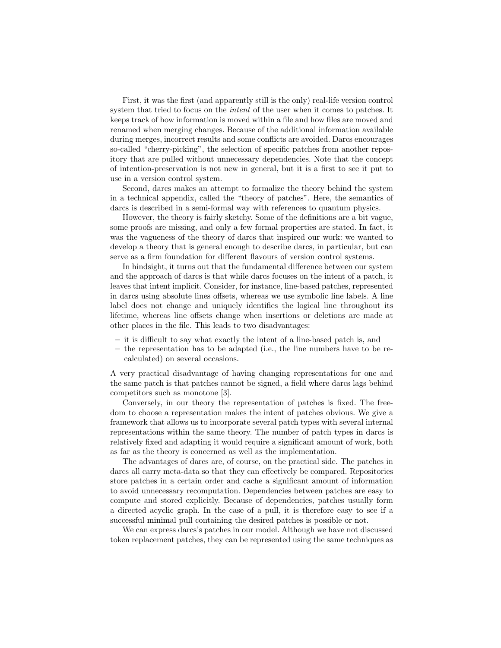First, it was the first (and apparently still is the only) real-life version control system that tried to focus on the *intent* of the user when it comes to patches. It keeps track of how information is moved within a file and how files are moved and renamed when merging changes. Because of the additional information available during merges, incorrect results and some conflicts are avoided. Darcs encourages so-called "cherry-picking", the selection of specific patches from another repository that are pulled without unnecessary dependencies. Note that the concept of intention-preservation is not new in general, but it is a first to see it put to use in a version control system.

Second, darcs makes an attempt to formalize the theory behind the system in a technical appendix, called the "theory of patches". Here, the semantics of darcs is described in a semi-formal way with references to quantum physics.

However, the theory is fairly sketchy. Some of the definitions are a bit vague, some proofs are missing, and only a few formal properties are stated. In fact, it was the vagueness of the theory of darcs that inspired our work: we wanted to develop a theory that is general enough to describe darcs, in particular, but can serve as a firm foundation for different flavours of version control systems.

In hindsight, it turns out that the fundamental difference between our system and the approach of darcs is that while darcs focuses on the intent of a patch, it leaves that intent implicit. Consider, for instance, line-based patches, represented in darcs using absolute lines offsets, whereas we use symbolic line labels. A line label does not change and uniquely identifies the logical line throughout its lifetime, whereas line offsets change when insertions or deletions are made at other places in the file. This leads to two disadvantages:

- it is difficult to say what exactly the intent of a line-based patch is, and
- the representation has to be adapted (i.e., the line numbers have to be recalculated) on several occasions.

A very practical disadvantage of having changing representations for one and the same patch is that patches cannot be signed, a field where darcs lags behind competitors such as monotone [3].

Conversely, in our theory the representation of patches is fixed. The freedom to choose a representation makes the intent of patches obvious. We give a framework that allows us to incorporate several patch types with several internal representations within the same theory. The number of patch types in darcs is relatively fixed and adapting it would require a significant amount of work, both as far as the theory is concerned as well as the implementation.

The advantages of darcs are, of course, on the practical side. The patches in darcs all carry meta-data so that they can effectively be compared. Repositories store patches in a certain order and cache a significant amount of information to avoid unnecessary recomputation. Dependencies between patches are easy to compute and stored explicitly. Because of dependencies, patches usually form a directed acyclic graph. In the case of a pull, it is therefore easy to see if a successful minimal pull containing the desired patches is possible or not.

We can express darcs's patches in our model. Although we have not discussed token replacement patches, they can be represented using the same techniques as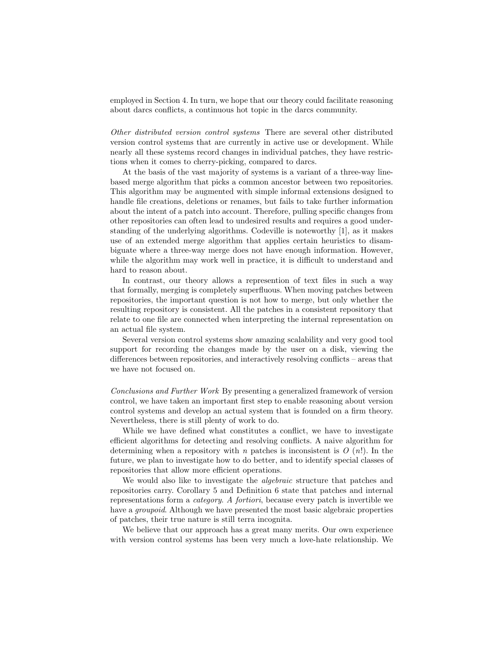employed in Section 4. In turn, we hope that our theory could facilitate reasoning about darcs conflicts, a continuous hot topic in the darcs community.

Other distributed version control systems There are several other distributed version control systems that are currently in active use or development. While nearly all these systems record changes in individual patches, they have restrictions when it comes to cherry-picking, compared to darcs.

At the basis of the vast majority of systems is a variant of a three-way linebased merge algorithm that picks a common ancestor between two repositories. This algorithm may be augmented with simple informal extensions designed to handle file creations, deletions or renames, but fails to take further information about the intent of a patch into account. Therefore, pulling specific changes from other repositories can often lead to undesired results and requires a good understanding of the underlying algorithms. Codeville is noteworthy [1], as it makes use of an extended merge algorithm that applies certain heuristics to disambiguate where a three-way merge does not have enough information. However, while the algorithm may work well in practice, it is difficult to understand and hard to reason about.

In contrast, our theory allows a represention of text files in such a way that formally, merging is completely superfluous. When moving patches between repositories, the important question is not how to merge, but only whether the resulting repository is consistent. All the patches in a consistent repository that relate to one file are connected when interpreting the internal representation on an actual file system.

Several version control systems show amazing scalability and very good tool support for recording the changes made by the user on a disk, viewing the differences between repositories, and interactively resolving conflicts – areas that we have not focused on.

Conclusions and Further Work By presenting a generalized framework of version control, we have taken an important first step to enable reasoning about version control systems and develop an actual system that is founded on a firm theory. Nevertheless, there is still plenty of work to do.

While we have defined what constitutes a conflict, we have to investigate efficient algorithms for detecting and resolving conflicts. A naive algorithm for determining when a repository with n patches is inconsistent is  $O(n!)$ . In the future, we plan to investigate how to do better, and to identify special classes of repositories that allow more efficient operations.

We would also like to investigate the *algebraic* structure that patches and repositories carry. Corollary 5 and Definition 6 state that patches and internal representations form a category. A fortiori, because every patch is invertible we have a *groupoid*. Although we have presented the most basic algebraic properties of patches, their true nature is still terra incognita.

We believe that our approach has a great many merits. Our own experience with version control systems has been very much a love-hate relationship. We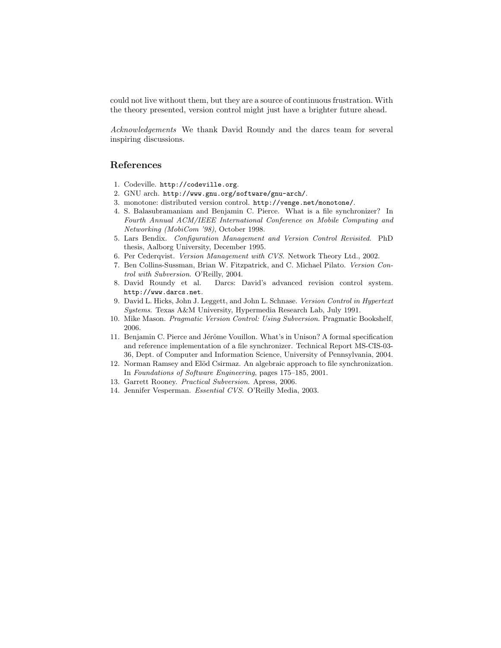could not live without them, but they are a source of continuous frustration. With the theory presented, version control might just have a brighter future ahead.

Acknowledgements We thank David Roundy and the darcs team for several inspiring discussions.

### References

- 1. Codeville. http://codeville.org.
- 2. GNU arch. http://www.gnu.org/software/gnu-arch/.
- 3. monotone: distributed version control. http://venge.net/monotone/.
- 4. S. Balasubramaniam and Benjamin C. Pierce. What is a file synchronizer? In Fourth Annual ACM/IEEE International Conference on Mobile Computing and Networking (MobiCom '98), October 1998.
- 5. Lars Bendix. Configuration Management and Version Control Revisited. PhD thesis, Aalborg University, December 1995.
- 6. Per Cederqvist. Version Management with CVS. Network Theory Ltd., 2002.
- 7. Ben Collins-Sussman, Brian W. Fitzpatrick, and C. Michael Pilato. Version Control with Subversion. O'Reilly, 2004.
- 8. David Roundy et al. Darcs: David's advanced revision control system. http://www.darcs.net.
- 9. David L. Hicks, John J. Leggett, and John L. Schnase. Version Control in Hypertext Systems. Texas A&M University, Hypermedia Research Lab, July 1991.
- 10. Mike Mason. Pragmatic Version Control: Using Subversion. Pragmatic Bookshelf, 2006.
- 11. Benjamin C. Pierce and Jérôme Vouillon. What's in Unison? A formal specification and reference implementation of a file synchronizer. Technical Report MS-CIS-03- 36, Dept. of Computer and Information Science, University of Pennsylvania, 2004.
- 12. Norman Ramsey and Elöd Csirmaz. An algebraic approach to file synchronization. In Foundations of Software Engineering, pages 175–185, 2001.
- 13. Garrett Rooney. Practical Subversion. Apress, 2006.
- 14. Jennifer Vesperman. Essential CVS. O'Reilly Media, 2003.